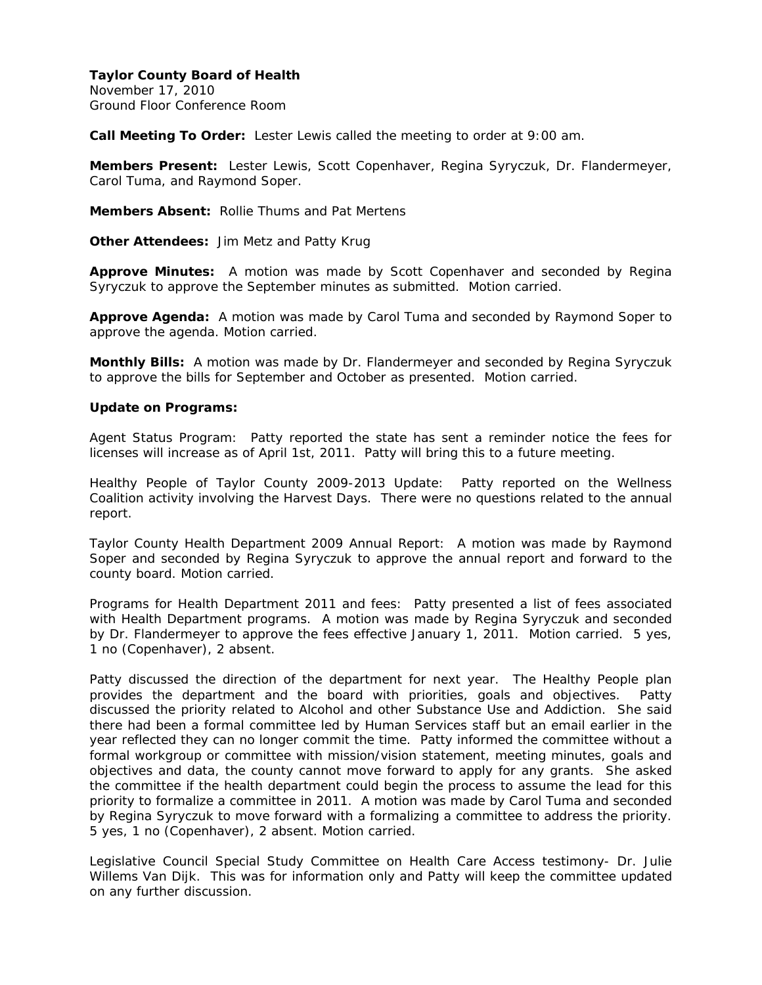November 17, 2010 Ground Floor Conference Room

**Call Meeting To Order:** Lester Lewis called the meeting to order at 9:00 am.

**Members Present:** Lester Lewis, Scott Copenhaver, Regina Syryczuk, Dr. Flandermeyer, Carol Tuma, and Raymond Soper.

**Members Absent:** Rollie Thums and Pat Mertens

**Other Attendees:** Jim Metz and Patty Krug

**Approve Minutes:** A motion was made by Scott Copenhaver and seconded by Regina Syryczuk to approve the September minutes as submitted. Motion carried.

**Approve Agenda:** A motion was made by Carol Tuma and seconded by Raymond Soper to approve the agenda. Motion carried.

**Monthly Bills:** A motion was made by Dr. Flandermeyer and seconded by Regina Syryczuk to approve the bills for September and October as presented. Motion carried.

### **Update on Programs:**

Agent Status Program: Patty reported the state has sent a reminder notice the fees for licenses will increase as of April 1st, 2011. Patty will bring this to a future meeting.

Healthy People of Taylor County 2009-2013 Update: Patty reported on the Wellness Coalition activity involving the Harvest Days. There were no questions related to the annual report.

Taylor County Health Department 2009 Annual Report: A motion was made by Raymond Soper and seconded by Regina Syryczuk to approve the annual report and forward to the county board. Motion carried.

Programs for Health Department 2011 and fees: Patty presented a list of fees associated with Health Department programs. A motion was made by Regina Syryczuk and seconded by Dr. Flandermeyer to approve the fees effective January 1, 2011. Motion carried. 5 yes, 1 no (Copenhaver), 2 absent.

Patty discussed the direction of the department for next year. The Healthy People plan provides the department and the board with priorities, goals and objectives. Patty discussed the priority related to Alcohol and other Substance Use and Addiction. She said there had been a formal committee led by Human Services staff but an email earlier in the year reflected they can no longer commit the time. Patty informed the committee without a formal workgroup or committee with mission/vision statement, meeting minutes, goals and objectives and data, the county cannot move forward to apply for any grants. She asked the committee if the health department could begin the process to assume the lead for this priority to formalize a committee in 2011. A motion was made by Carol Tuma and seconded by Regina Syryczuk to move forward with a formalizing a committee to address the priority. 5 yes, 1 no (Copenhaver), 2 absent. Motion carried.

Legislative Council Special Study Committee on Health Care Access testimony- Dr. Julie Willems Van Dijk. This was for information only and Patty will keep the committee updated on any further discussion.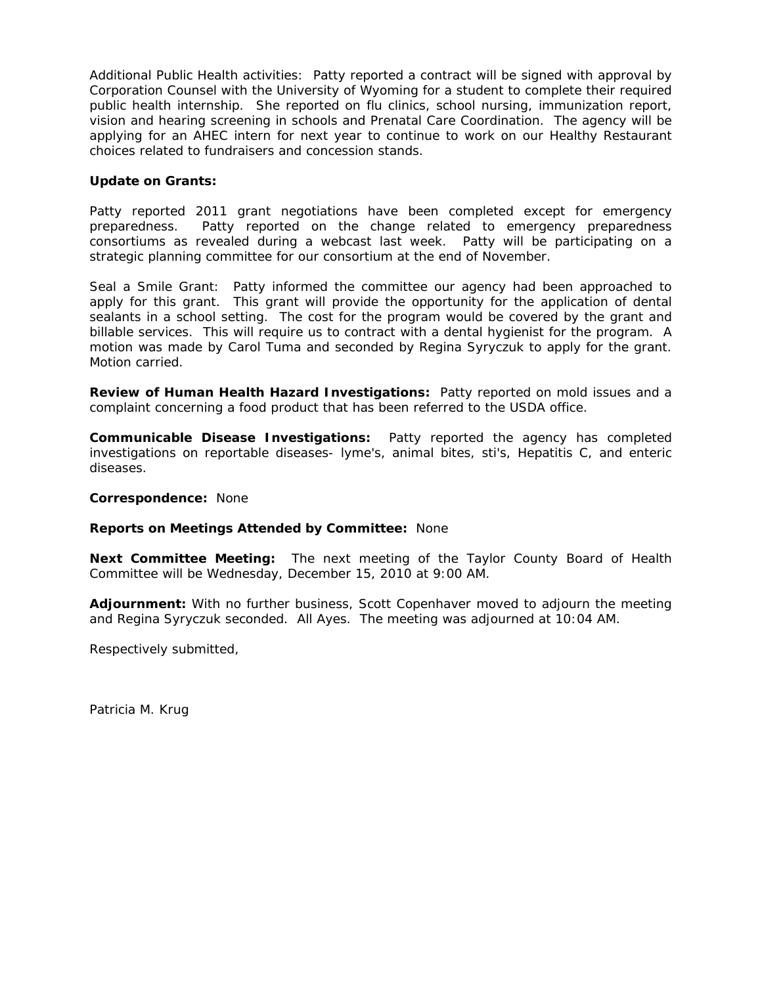Additional Public Health activities: Patty reported a contract will be signed with approval by Corporation Counsel with the University of Wyoming for a student to complete their required public health internship. She reported on flu clinics, school nursing, immunization report, vision and hearing screening in schools and Prenatal Care Coordination. The agency will be applying for an AHEC intern for next year to continue to work on our Healthy Restaurant choices related to fundraisers and concession stands.

## **Update on Grants:**

Patty reported 2011 grant negotiations have been completed except for emergency preparedness. Patty reported on the change related to emergency preparedness consortiums as revealed during a webcast last week. Patty will be participating on a strategic planning committee for our consortium at the end of November.

Seal a Smile Grant: Patty informed the committee our agency had been approached to apply for this grant. This grant will provide the opportunity for the application of dental sealants in a school setting. The cost for the program would be covered by the grant and billable services. This will require us to contract with a dental hygienist for the program. A motion was made by Carol Tuma and seconded by Regina Syryczuk to apply for the grant. Motion carried.

**Review of Human Health Hazard Investigations:** Patty reported on mold issues and a complaint concerning a food product that has been referred to the USDA office.

**Communicable Disease Investigations:** Patty reported the agency has completed investigations on reportable diseases- lyme's, animal bites, sti's, Hepatitis C, and enteric diseases.

**Correspondence:** None

### **Reports on Meetings Attended by Committee:** None

**Next Committee Meeting:** The next meeting of the Taylor County Board of Health Committee will be Wednesday, December 15, 2010 at 9:00 AM.

**Adjournment:** With no further business, Scott Copenhaver moved to adjourn the meeting and Regina Syryczuk seconded. All Ayes. The meeting was adjourned at 10:04 AM.

Respectively submitted,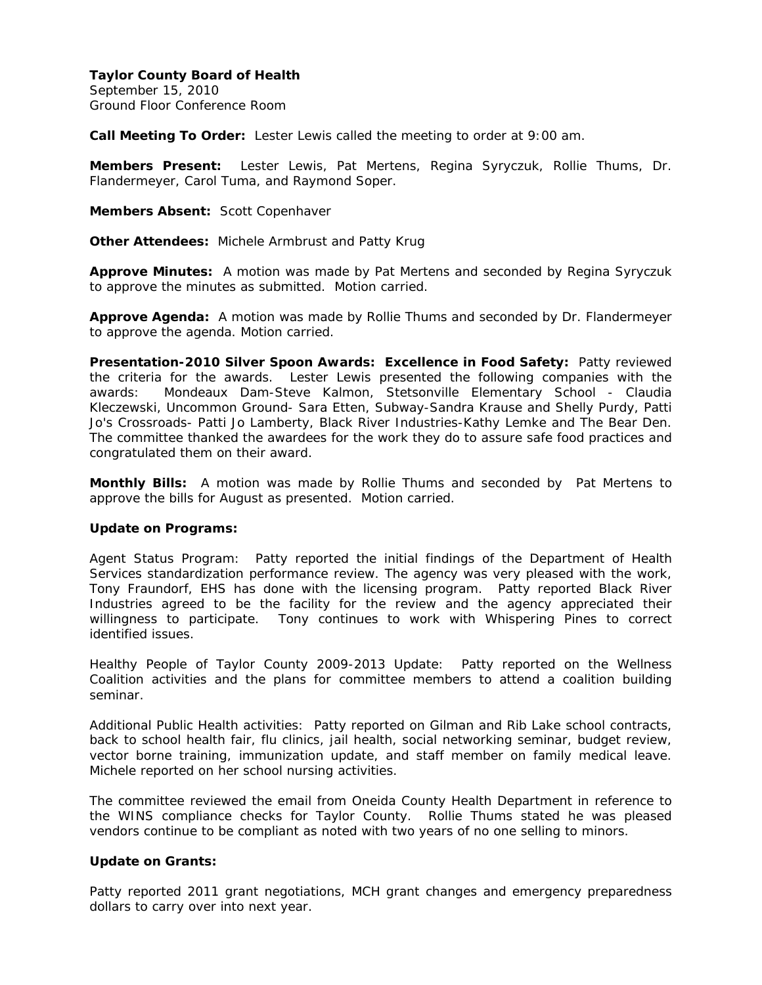September 15, 2010 Ground Floor Conference Room

**Call Meeting To Order:** Lester Lewis called the meeting to order at 9:00 am.

**Members Present:** Lester Lewis, Pat Mertens, Regina Syryczuk, Rollie Thums, Dr. Flandermeyer, Carol Tuma, and Raymond Soper.

**Members Absent:** Scott Copenhaver

**Other Attendees:** Michele Armbrust and Patty Krug

**Approve Minutes:** A motion was made by Pat Mertens and seconded by Regina Syryczuk to approve the minutes as submitted. Motion carried.

**Approve Agenda:** A motion was made by Rollie Thums and seconded by Dr. Flandermeyer to approve the agenda. Motion carried.

**Presentation-2010 Silver Spoon Awards: Excellence in Food Safety:** Patty reviewed the criteria for the awards. Lester Lewis presented the following companies with the awards: Mondeaux Dam-Steve Kalmon, Stetsonville Elementary School - Claudia Kleczewski, Uncommon Ground- Sara Etten, Subway-Sandra Krause and Shelly Purdy, Patti Jo's Crossroads- Patti Jo Lamberty, Black River Industries-Kathy Lemke and The Bear Den. The committee thanked the awardees for the work they do to assure safe food practices and congratulated them on their award.

**Monthly Bills:** A motion was made by Rollie Thums and seconded by Pat Mertens to approve the bills for August as presented. Motion carried.

### **Update on Programs:**

Agent Status Program: Patty reported the initial findings of the Department of Health Services standardization performance review. The agency was very pleased with the work, Tony Fraundorf, EHS has done with the licensing program. Patty reported Black River Industries agreed to be the facility for the review and the agency appreciated their willingness to participate. Tony continues to work with Whispering Pines to correct identified issues.

Healthy People of Taylor County 2009-2013 Update: Patty reported on the Wellness Coalition activities and the plans for committee members to attend a coalition building seminar.

Additional Public Health activities: Patty reported on Gilman and Rib Lake school contracts, back to school health fair, flu clinics, jail health, social networking seminar, budget review, vector borne training, immunization update, and staff member on family medical leave. Michele reported on her school nursing activities.

The committee reviewed the email from Oneida County Health Department in reference to the WINS compliance checks for Taylor County. Rollie Thums stated he was pleased vendors continue to be compliant as noted with two years of no one selling to minors.

### **Update on Grants:**

Patty reported 2011 grant negotiations, MCH grant changes and emergency preparedness dollars to carry over into next year.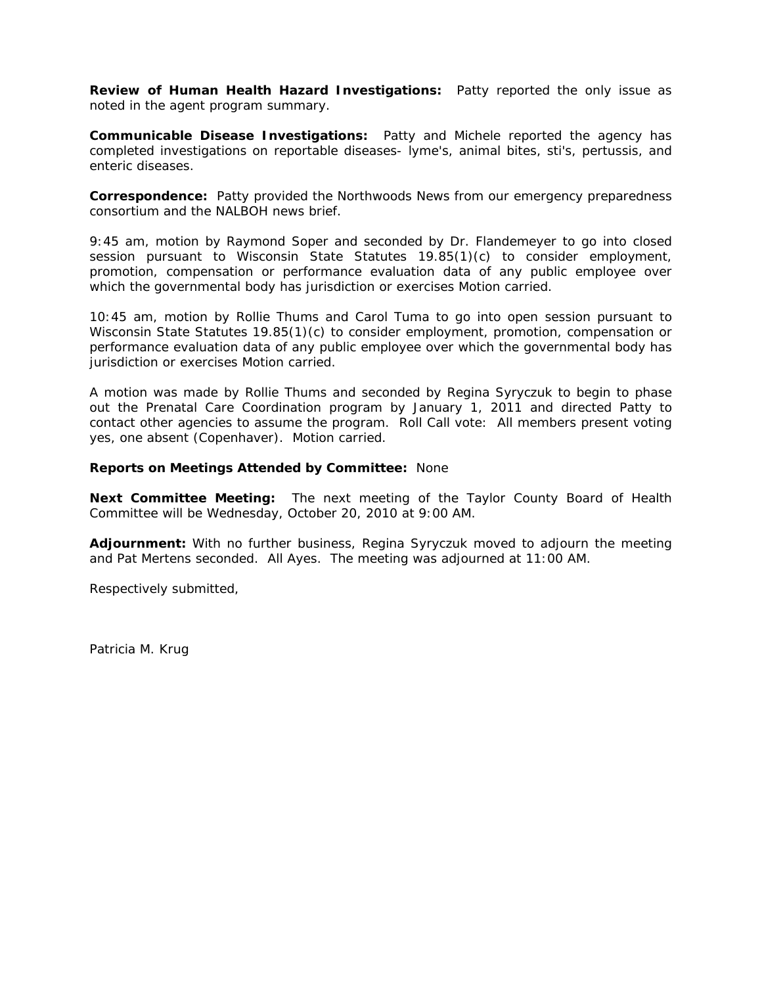**Review of Human Health Hazard Investigations:** Patty reported the only issue as noted in the agent program summary.

**Communicable Disease Investigations:** Patty and Michele reported the agency has completed investigations on reportable diseases- lyme's, animal bites, sti's, pertussis, and enteric diseases.

**Correspondence:** Patty provided the Northwoods News from our emergency preparedness consortium and the NALBOH news brief.

9:45 am, motion by Raymond Soper and seconded by Dr. Flandemeyer to go into closed session pursuant to Wisconsin State Statutes 19.85(1)(c) to consider employment, promotion, compensation or performance evaluation data of any public employee over which the governmental body has jurisdiction or exercises Motion carried.

10:45 am, motion by Rollie Thums and Carol Tuma to go into open session pursuant to Wisconsin State Statutes 19.85(1)(c) to consider employment, promotion, compensation or performance evaluation data of any public employee over which the governmental body has jurisdiction or exercises Motion carried.

A motion was made by Rollie Thums and seconded by Regina Syryczuk to begin to phase out the Prenatal Care Coordination program by January 1, 2011 and directed Patty to contact other agencies to assume the program. Roll Call vote: All members present voting yes, one absent (Copenhaver). Motion carried.

### **Reports on Meetings Attended by Committee:** None

**Next Committee Meeting:** The next meeting of the Taylor County Board of Health Committee will be Wednesday, October 20, 2010 at 9:00 AM.

**Adjournment:** With no further business, Regina Syryczuk moved to adjourn the meeting and Pat Mertens seconded. All Ayes. The meeting was adjourned at 11:00 AM.

Respectively submitted,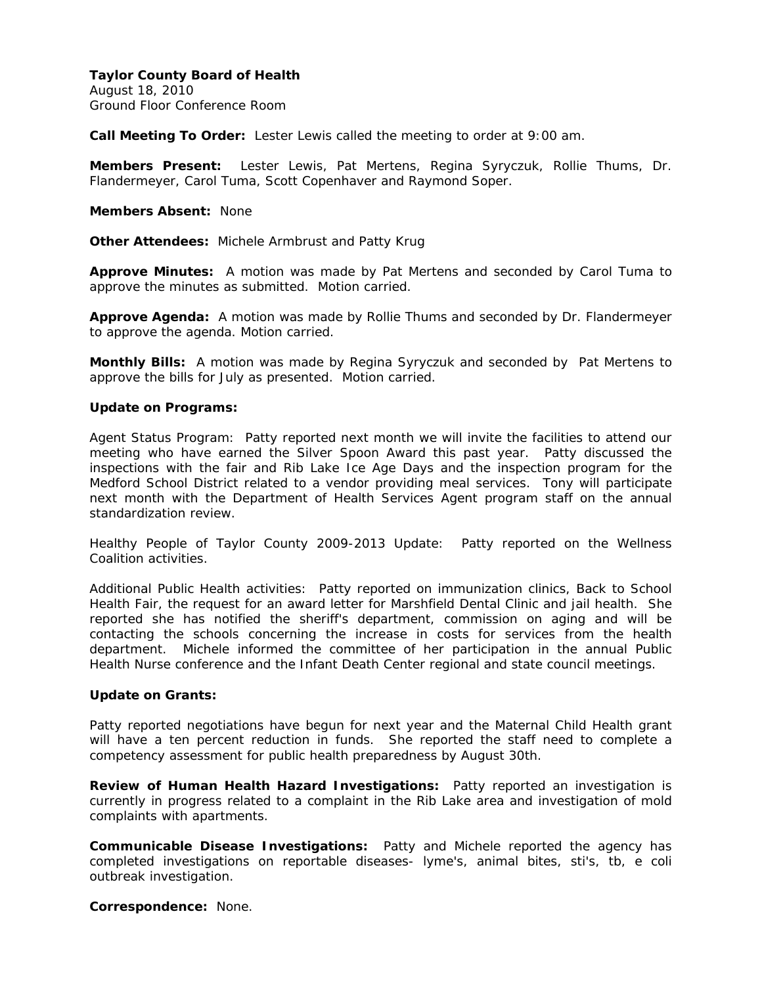August 18, 2010 Ground Floor Conference Room

**Call Meeting To Order:** Lester Lewis called the meeting to order at 9:00 am.

**Members Present:** Lester Lewis, Pat Mertens, Regina Syryczuk, Rollie Thums, Dr. Flandermeyer, Carol Tuma, Scott Copenhaver and Raymond Soper.

**Members Absent:** None

**Other Attendees:** Michele Armbrust and Patty Krug

**Approve Minutes:** A motion was made by Pat Mertens and seconded by Carol Tuma to approve the minutes as submitted. Motion carried.

**Approve Agenda:** A motion was made by Rollie Thums and seconded by Dr. Flandermeyer to approve the agenda. Motion carried.

**Monthly Bills:** A motion was made by Regina Syryczuk and seconded by Pat Mertens to approve the bills for July as presented. Motion carried.

### **Update on Programs:**

Agent Status Program: Patty reported next month we will invite the facilities to attend our meeting who have earned the Silver Spoon Award this past year. Patty discussed the inspections with the fair and Rib Lake Ice Age Days and the inspection program for the Medford School District related to a vendor providing meal services. Tony will participate next month with the Department of Health Services Agent program staff on the annual standardization review.

Healthy People of Taylor County 2009-2013 Update: Patty reported on the Wellness Coalition activities.

Additional Public Health activities: Patty reported on immunization clinics, Back to School Health Fair, the request for an award letter for Marshfield Dental Clinic and jail health. She reported she has notified the sheriff's department, commission on aging and will be contacting the schools concerning the increase in costs for services from the health department. Michele informed the committee of her participation in the annual Public Health Nurse conference and the Infant Death Center regional and state council meetings.

### **Update on Grants:**

Patty reported negotiations have begun for next year and the Maternal Child Health grant will have a ten percent reduction in funds. She reported the staff need to complete a competency assessment for public health preparedness by August 30th.

**Review of Human Health Hazard Investigations:** Patty reported an investigation is currently in progress related to a complaint in the Rib Lake area and investigation of mold complaints with apartments.

**Communicable Disease Investigations:** Patty and Michele reported the agency has completed investigations on reportable diseases- lyme's, animal bites, sti's, tb, e coli outbreak investigation.

**Correspondence:** None.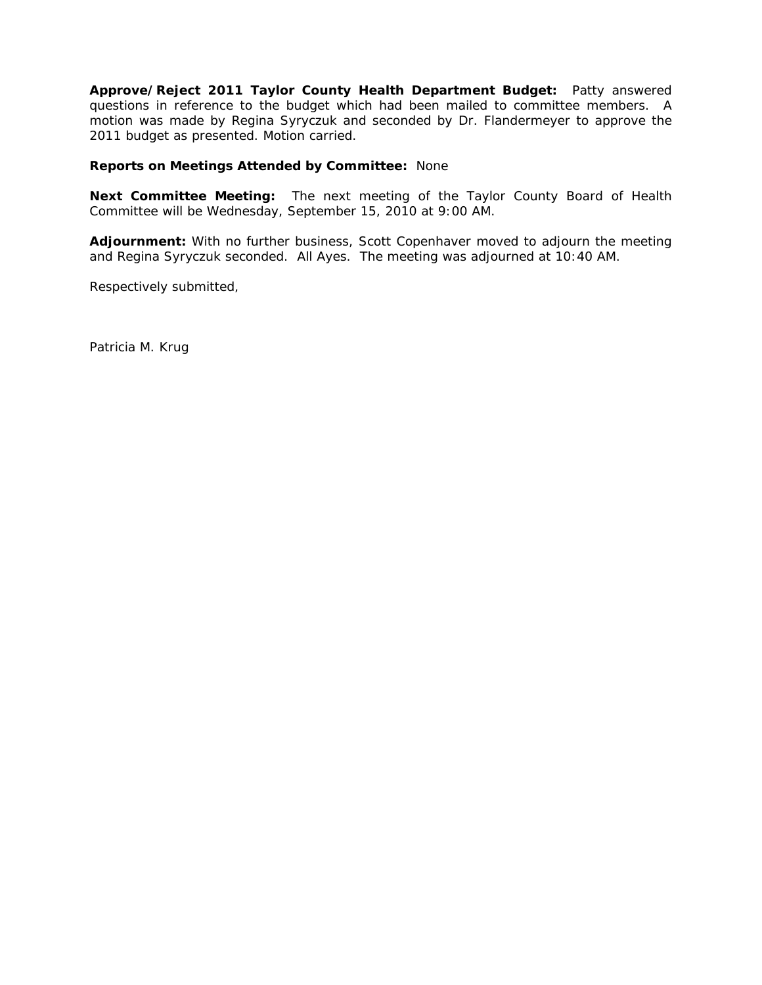**Approve/Reject 2011 Taylor County Health Department Budget:** Patty answered questions in reference to the budget which had been mailed to committee members. A motion was made by Regina Syryczuk and seconded by Dr. Flandermeyer to approve the 2011 budget as presented. Motion carried.

### **Reports on Meetings Attended by Committee:** None

**Next Committee Meeting:** The next meeting of the Taylor County Board of Health Committee will be Wednesday, September 15, 2010 at 9:00 AM.

**Adjournment:** With no further business, Scott Copenhaver moved to adjourn the meeting and Regina Syryczuk seconded. All Ayes. The meeting was adjourned at 10:40 AM.

Respectively submitted,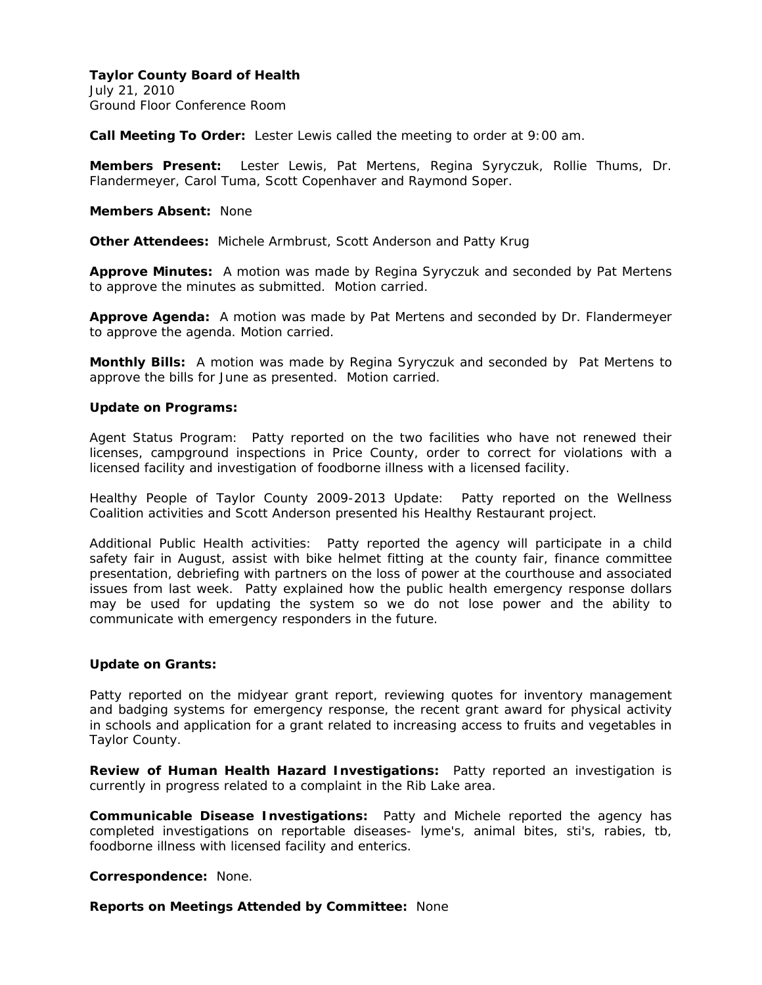July 21, 2010 Ground Floor Conference Room

**Call Meeting To Order:** Lester Lewis called the meeting to order at 9:00 am.

**Members Present:** Lester Lewis, Pat Mertens, Regina Syryczuk, Rollie Thums, Dr. Flandermeyer, Carol Tuma, Scott Copenhaver and Raymond Soper.

**Members Absent:** None

**Other Attendees:** Michele Armbrust, Scott Anderson and Patty Krug

**Approve Minutes:** A motion was made by Regina Syryczuk and seconded by Pat Mertens to approve the minutes as submitted. Motion carried.

**Approve Agenda:** A motion was made by Pat Mertens and seconded by Dr. Flandermeyer to approve the agenda. Motion carried.

**Monthly Bills:** A motion was made by Regina Syryczuk and seconded by Pat Mertens to approve the bills for June as presented. Motion carried.

#### **Update on Programs:**

Agent Status Program: Patty reported on the two facilities who have not renewed their licenses, campground inspections in Price County, order to correct for violations with a licensed facility and investigation of foodborne illness with a licensed facility.

Healthy People of Taylor County 2009-2013 Update: Patty reported on the Wellness Coalition activities and Scott Anderson presented his Healthy Restaurant project.

Additional Public Health activities: Patty reported the agency will participate in a child safety fair in August, assist with bike helmet fitting at the county fair, finance committee presentation, debriefing with partners on the loss of power at the courthouse and associated issues from last week. Patty explained how the public health emergency response dollars may be used for updating the system so we do not lose power and the ability to communicate with emergency responders in the future.

## **Update on Grants:**

Patty reported on the midyear grant report, reviewing quotes for inventory management and badging systems for emergency response, the recent grant award for physical activity in schools and application for a grant related to increasing access to fruits and vegetables in Taylor County.

**Review of Human Health Hazard Investigations:** Patty reported an investigation is currently in progress related to a complaint in the Rib Lake area.

**Communicable Disease Investigations:** Patty and Michele reported the agency has completed investigations on reportable diseases- lyme's, animal bites, sti's, rabies, tb, foodborne illness with licensed facility and enterics.

**Correspondence:** None.

**Reports on Meetings Attended by Committee:** None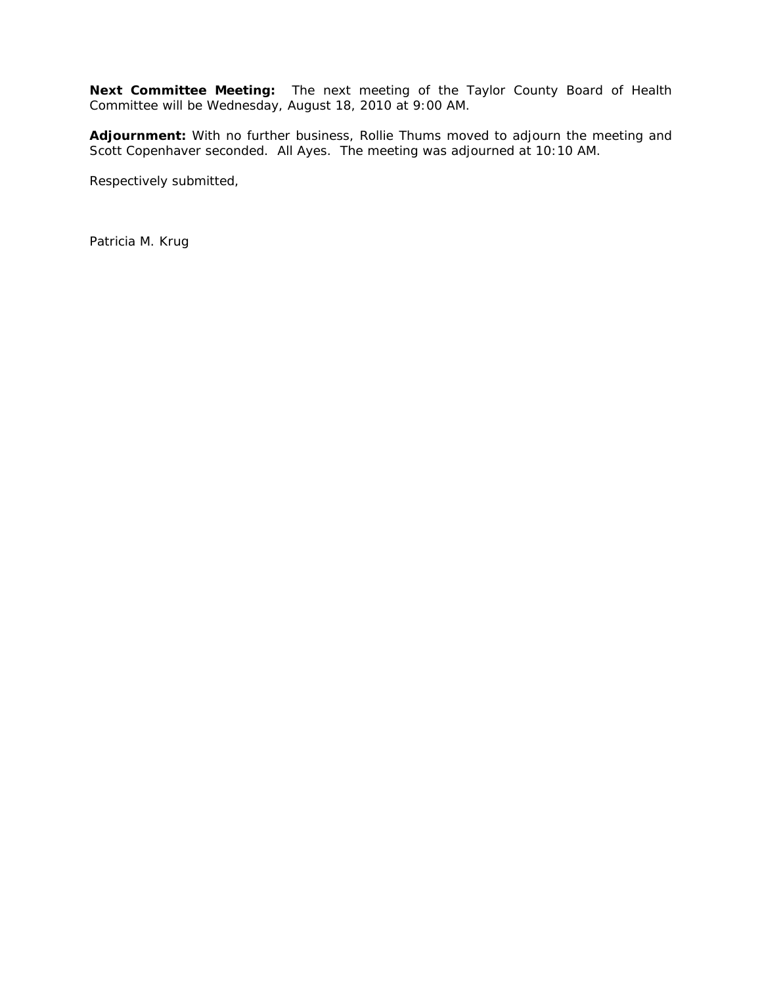**Next Committee Meeting:** The next meeting of the Taylor County Board of Health Committee will be Wednesday, August 18, 2010 at 9:00 AM.

**Adjournment:** With no further business, Rollie Thums moved to adjourn the meeting and Scott Copenhaver seconded. All Ayes. The meeting was adjourned at 10:10 AM.

Respectively submitted,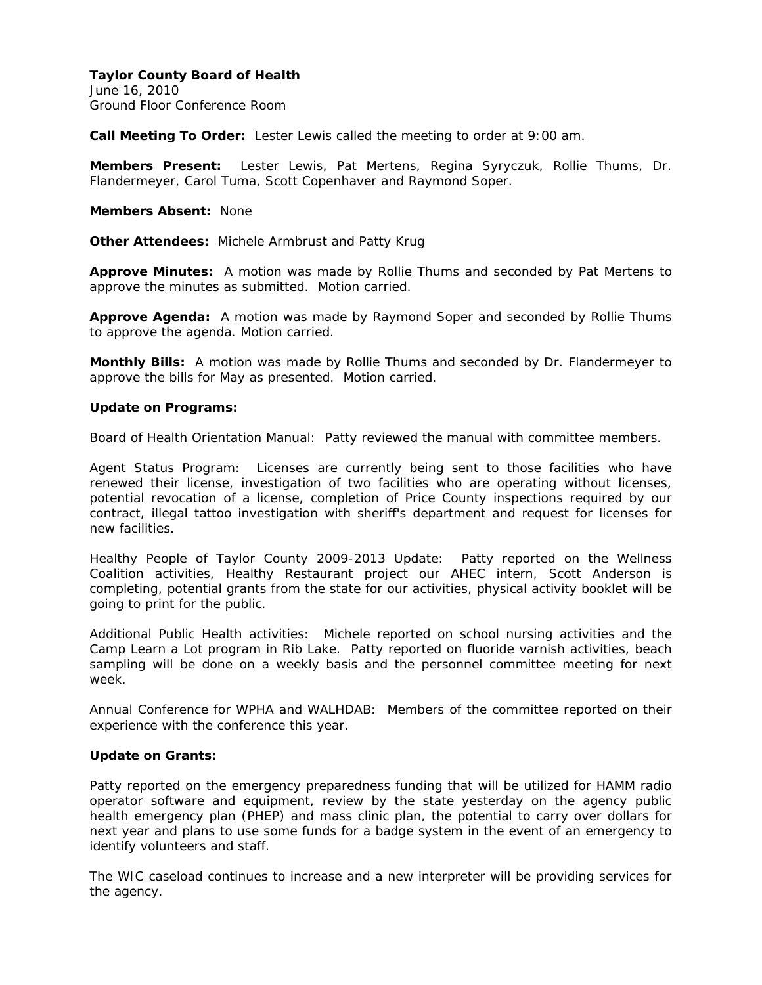June 16, 2010 Ground Floor Conference Room

**Call Meeting To Order:** Lester Lewis called the meeting to order at 9:00 am.

**Members Present:** Lester Lewis, Pat Mertens, Regina Syryczuk, Rollie Thums, Dr. Flandermeyer, Carol Tuma, Scott Copenhaver and Raymond Soper.

**Members Absent:** None

**Other Attendees:** Michele Armbrust and Patty Krug

**Approve Minutes:** A motion was made by Rollie Thums and seconded by Pat Mertens to approve the minutes as submitted. Motion carried.

**Approve Agenda:** A motion was made by Raymond Soper and seconded by Rollie Thums to approve the agenda. Motion carried.

**Monthly Bills:** A motion was made by Rollie Thums and seconded by Dr. Flandermeyer to approve the bills for May as presented. Motion carried.

### **Update on Programs:**

Board of Health Orientation Manual: Patty reviewed the manual with committee members.

Agent Status Program: Licenses are currently being sent to those facilities who have renewed their license, investigation of two facilities who are operating without licenses, potential revocation of a license, completion of Price County inspections required by our contract, illegal tattoo investigation with sheriff's department and request for licenses for new facilities.

Healthy People of Taylor County 2009-2013 Update: Patty reported on the Wellness Coalition activities, Healthy Restaurant project our AHEC intern, Scott Anderson is completing, potential grants from the state for our activities, physical activity booklet will be going to print for the public.

Additional Public Health activities: Michele reported on school nursing activities and the Camp Learn a Lot program in Rib Lake. Patty reported on fluoride varnish activities, beach sampling will be done on a weekly basis and the personnel committee meeting for next week.

Annual Conference for WPHA and WALHDAB: Members of the committee reported on their experience with the conference this year.

# **Update on Grants:**

Patty reported on the emergency preparedness funding that will be utilized for HAMM radio operator software and equipment, review by the state yesterday on the agency public health emergency plan (PHEP) and mass clinic plan, the potential to carry over dollars for next year and plans to use some funds for a badge system in the event of an emergency to identify volunteers and staff.

The WIC caseload continues to increase and a new interpreter will be providing services for the agency.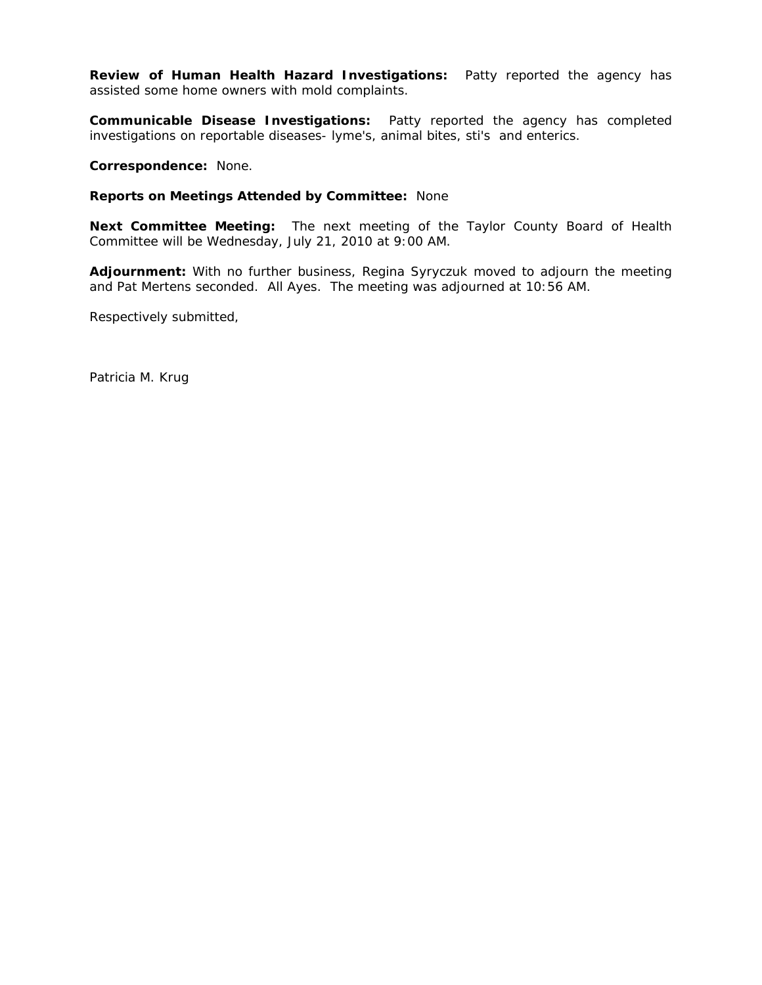**Review of Human Health Hazard Investigations:** Patty reported the agency has assisted some home owners with mold complaints.

**Communicable Disease Investigations:** Patty reported the agency has completed investigations on reportable diseases- lyme's, animal bites, sti's and enterics.

**Correspondence:** None.

#### **Reports on Meetings Attended by Committee:** None

**Next Committee Meeting:** The next meeting of the Taylor County Board of Health Committee will be Wednesday, July 21, 2010 at 9:00 AM.

**Adjournment:** With no further business, Regina Syryczuk moved to adjourn the meeting and Pat Mertens seconded. All Ayes. The meeting was adjourned at 10:56 AM.

Respectively submitted,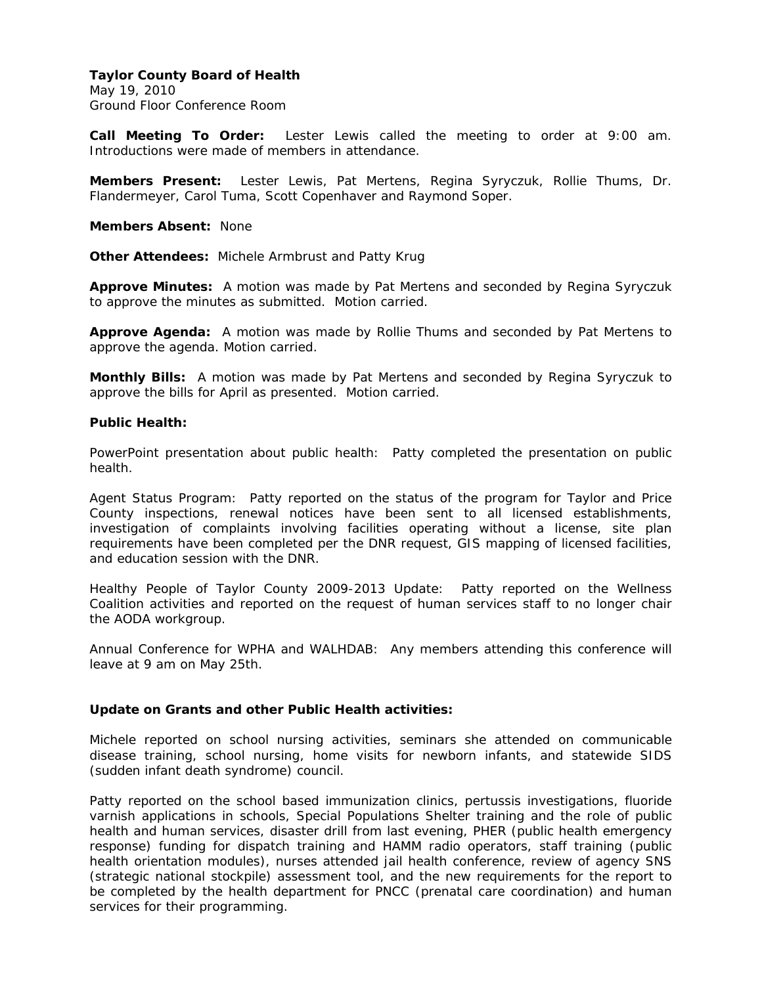May 19, 2010 Ground Floor Conference Room

**Call Meeting To Order:** Lester Lewis called the meeting to order at 9:00 am. Introductions were made of members in attendance.

**Members Present:** Lester Lewis, Pat Mertens, Regina Syryczuk, Rollie Thums, Dr. Flandermeyer, Carol Tuma, Scott Copenhaver and Raymond Soper.

**Members Absent:** None

**Other Attendees:** Michele Armbrust and Patty Krug

**Approve Minutes:** A motion was made by Pat Mertens and seconded by Regina Syryczuk to approve the minutes as submitted. Motion carried.

**Approve Agenda:** A motion was made by Rollie Thums and seconded by Pat Mertens to approve the agenda. Motion carried.

**Monthly Bills:** A motion was made by Pat Mertens and seconded by Regina Syryczuk to approve the bills for April as presented. Motion carried.

### **Public Health:**

PowerPoint presentation about public health: Patty completed the presentation on public health.

Agent Status Program: Patty reported on the status of the program for Taylor and Price County inspections, renewal notices have been sent to all licensed establishments, investigation of complaints involving facilities operating without a license, site plan requirements have been completed per the DNR request, GIS mapping of licensed facilities, and education session with the DNR.

Healthy People of Taylor County 2009-2013 Update: Patty reported on the Wellness Coalition activities and reported on the request of human services staff to no longer chair the AODA workgroup.

Annual Conference for WPHA and WALHDAB: Any members attending this conference will leave at 9 am on May 25th.

### **Update on Grants and other Public Health activities:**

Michele reported on school nursing activities, seminars she attended on communicable disease training, school nursing, home visits for newborn infants, and statewide SIDS (sudden infant death syndrome) council.

Patty reported on the school based immunization clinics, pertussis investigations, fluoride varnish applications in schools, Special Populations Shelter training and the role of public health and human services, disaster drill from last evening, PHER (public health emergency response) funding for dispatch training and HAMM radio operators, staff training (public health orientation modules), nurses attended jail health conference, review of agency SNS (strategic national stockpile) assessment tool, and the new requirements for the report to be completed by the health department for PNCC (prenatal care coordination) and human services for their programming.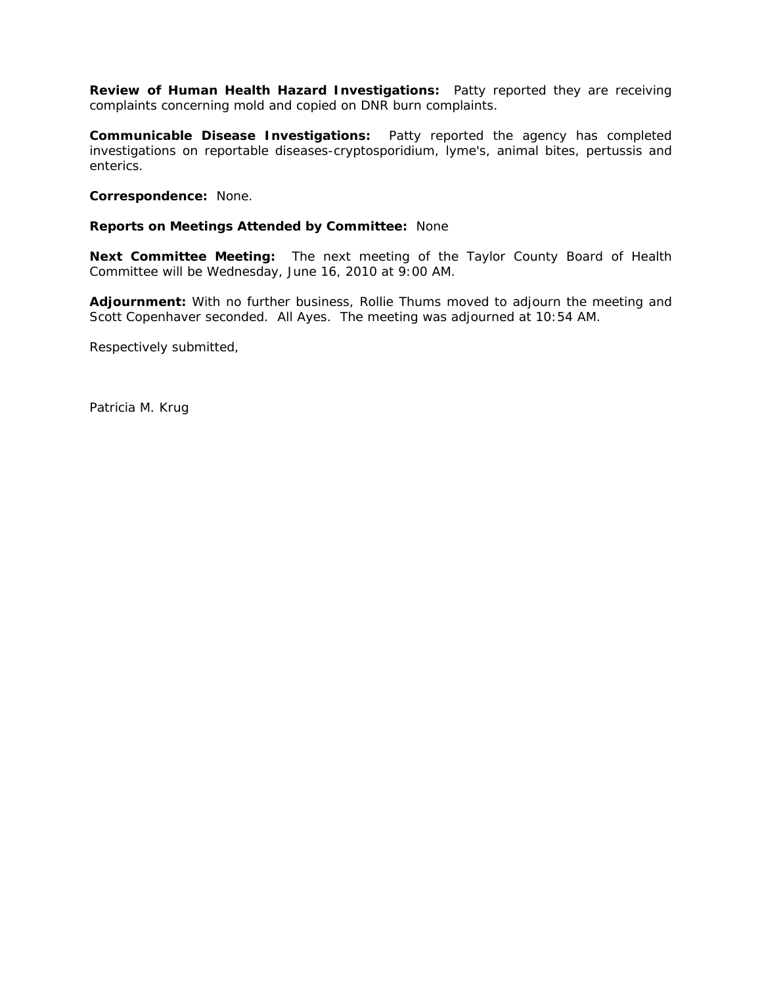**Review of Human Health Hazard Investigations:** Patty reported they are receiving complaints concerning mold and copied on DNR burn complaints.

**Communicable Disease Investigations:** Patty reported the agency has completed investigations on reportable diseases-cryptosporidium, lyme's, animal bites, pertussis and enterics.

**Correspondence:** None.

### **Reports on Meetings Attended by Committee:** None

**Next Committee Meeting:** The next meeting of the Taylor County Board of Health Committee will be Wednesday, June 16, 2010 at 9:00 AM.

**Adjournment:** With no further business, Rollie Thums moved to adjourn the meeting and Scott Copenhaver seconded. All Ayes. The meeting was adjourned at 10:54 AM.

Respectively submitted,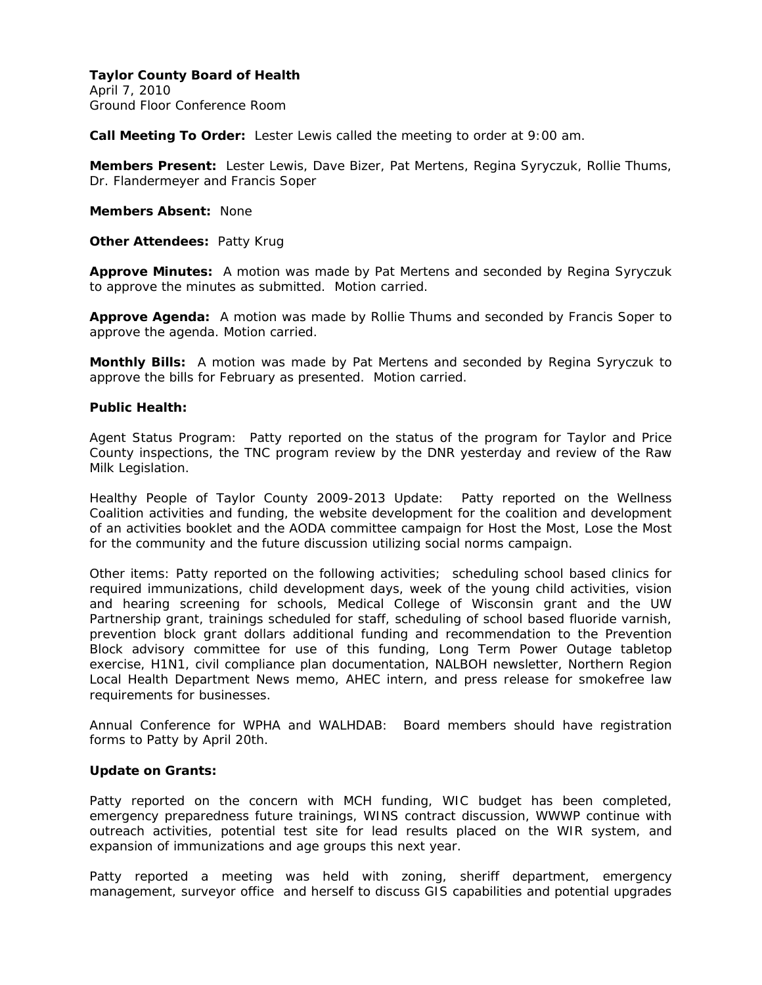April 7, 2010 Ground Floor Conference Room

**Call Meeting To Order:** Lester Lewis called the meeting to order at 9:00 am.

**Members Present:** Lester Lewis, Dave Bizer, Pat Mertens, Regina Syryczuk, Rollie Thums, Dr. Flandermeyer and Francis Soper

**Members Absent:** None

**Other Attendees:** Patty Krug

**Approve Minutes:** A motion was made by Pat Mertens and seconded by Regina Syryczuk to approve the minutes as submitted. Motion carried.

**Approve Agenda:** A motion was made by Rollie Thums and seconded by Francis Soper to approve the agenda. Motion carried.

**Monthly Bills:** A motion was made by Pat Mertens and seconded by Regina Syryczuk to approve the bills for February as presented. Motion carried.

#### **Public Health:**

Agent Status Program: Patty reported on the status of the program for Taylor and Price County inspections, the TNC program review by the DNR yesterday and review of the Raw Milk Legislation.

Healthy People of Taylor County 2009-2013 Update: Patty reported on the Wellness Coalition activities and funding, the website development for the coalition and development of an activities booklet and the AODA committee campaign for Host the Most, Lose the Most for the community and the future discussion utilizing social norms campaign.

Other items: Patty reported on the following activities; scheduling school based clinics for required immunizations, child development days, week of the young child activities, vision and hearing screening for schools, Medical College of Wisconsin grant and the UW Partnership grant, trainings scheduled for staff, scheduling of school based fluoride varnish, prevention block grant dollars additional funding and recommendation to the Prevention Block advisory committee for use of this funding, Long Term Power Outage tabletop exercise, H1N1, civil compliance plan documentation, NALBOH newsletter, Northern Region Local Health Department News memo, AHEC intern, and press release for smokefree law requirements for businesses.

Annual Conference for WPHA and WALHDAB: Board members should have registration forms to Patty by April 20th.

### **Update on Grants:**

Patty reported on the concern with MCH funding, WIC budget has been completed, emergency preparedness future trainings, WINS contract discussion, WWWP continue with outreach activities, potential test site for lead results placed on the WIR system, and expansion of immunizations and age groups this next year.

Patty reported a meeting was held with zoning, sheriff department, emergency management, surveyor office and herself to discuss GIS capabilities and potential upgrades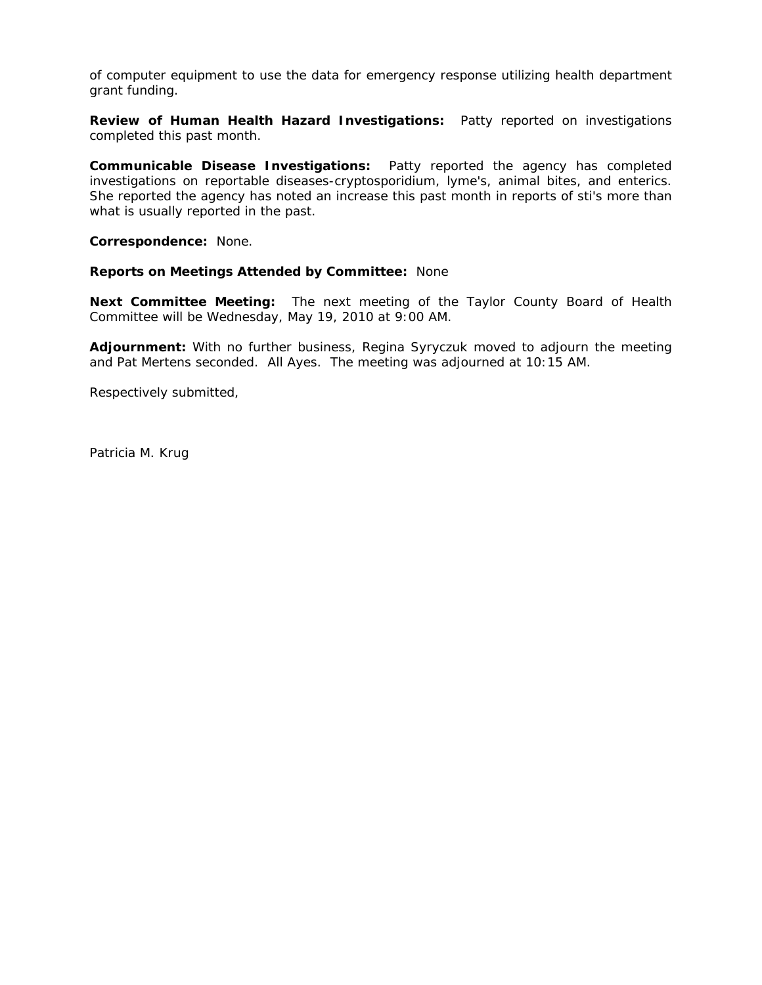of computer equipment to use the data for emergency response utilizing health department grant funding.

**Review of Human Health Hazard Investigations:** Patty reported on investigations completed this past month.

**Communicable Disease Investigations:** Patty reported the agency has completed investigations on reportable diseases-cryptosporidium, lyme's, animal bites, and enterics. She reported the agency has noted an increase this past month in reports of sti's more than what is usually reported in the past.

**Correspondence:** None.

#### **Reports on Meetings Attended by Committee:** None

**Next Committee Meeting:** The next meeting of the Taylor County Board of Health Committee will be Wednesday, May 19, 2010 at 9:00 AM.

**Adjournment:** With no further business, Regina Syryczuk moved to adjourn the meeting and Pat Mertens seconded. All Ayes. The meeting was adjourned at 10:15 AM.

Respectively submitted,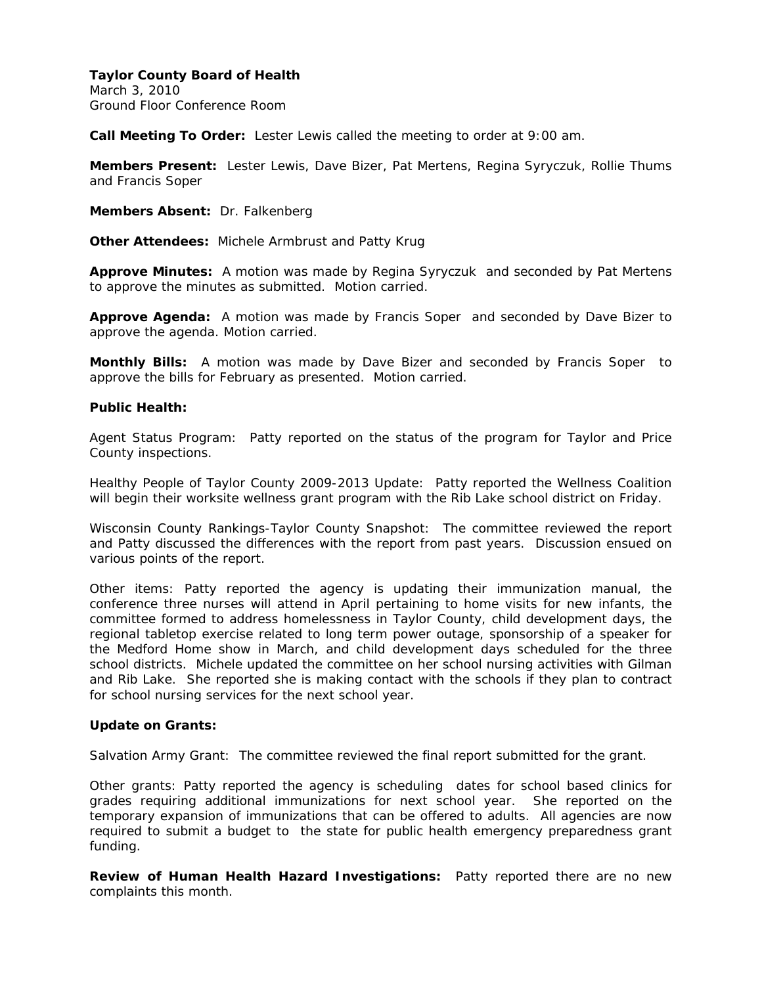March 3, 2010 Ground Floor Conference Room

**Call Meeting To Order:** Lester Lewis called the meeting to order at 9:00 am.

**Members Present:** Lester Lewis, Dave Bizer, Pat Mertens, Regina Syryczuk, Rollie Thums and Francis Soper

**Members Absent:** Dr. Falkenberg

**Other Attendees:** Michele Armbrust and Patty Krug

**Approve Minutes:** A motion was made by Regina Syryczuk and seconded by Pat Mertens to approve the minutes as submitted. Motion carried.

**Approve Agenda:** A motion was made by Francis Soper and seconded by Dave Bizer to approve the agenda. Motion carried.

**Monthly Bills:** A motion was made by Dave Bizer and seconded by Francis Soper to approve the bills for February as presented. Motion carried.

### **Public Health:**

Agent Status Program: Patty reported on the status of the program for Taylor and Price County inspections.

Healthy People of Taylor County 2009-2013 Update: Patty reported the Wellness Coalition will begin their worksite wellness grant program with the Rib Lake school district on Friday.

Wisconsin County Rankings-Taylor County Snapshot: The committee reviewed the report and Patty discussed the differences with the report from past years. Discussion ensued on various points of the report.

Other items: Patty reported the agency is updating their immunization manual, the conference three nurses will attend in April pertaining to home visits for new infants, the committee formed to address homelessness in Taylor County, child development days, the regional tabletop exercise related to long term power outage, sponsorship of a speaker for the Medford Home show in March, and child development days scheduled for the three school districts. Michele updated the committee on her school nursing activities with Gilman and Rib Lake. She reported she is making contact with the schools if they plan to contract for school nursing services for the next school year.

### **Update on Grants:**

Salvation Army Grant: The committee reviewed the final report submitted for the grant.

Other grants: Patty reported the agency is scheduling dates for school based clinics for grades requiring additional immunizations for next school year. She reported on the temporary expansion of immunizations that can be offered to adults. All agencies are now required to submit a budget to the state for public health emergency preparedness grant funding.

**Review of Human Health Hazard Investigations:** Patty reported there are no new complaints this month.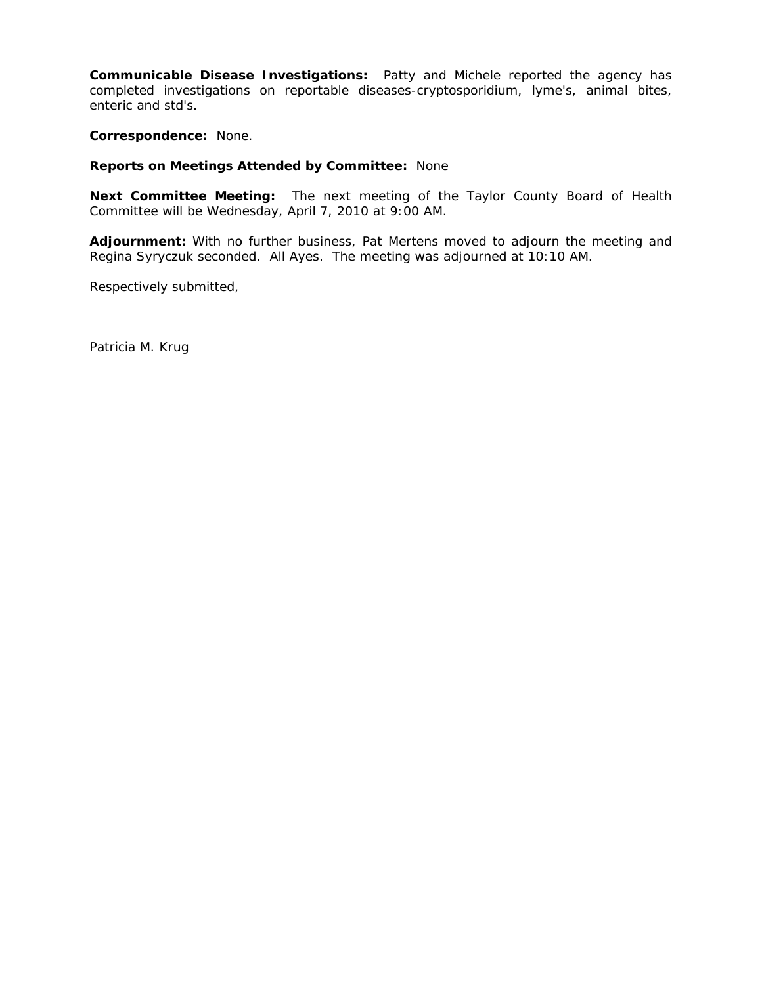**Communicable Disease Investigations:** Patty and Michele reported the agency has completed investigations on reportable diseases-cryptosporidium, lyme's, animal bites, enteric and std's.

**Correspondence:** None.

### **Reports on Meetings Attended by Committee:** None

**Next Committee Meeting:** The next meeting of the Taylor County Board of Health Committee will be Wednesday, April 7, 2010 at 9:00 AM.

**Adjournment:** With no further business, Pat Mertens moved to adjourn the meeting and Regina Syryczuk seconded. All Ayes. The meeting was adjourned at 10:10 AM.

Respectively submitted,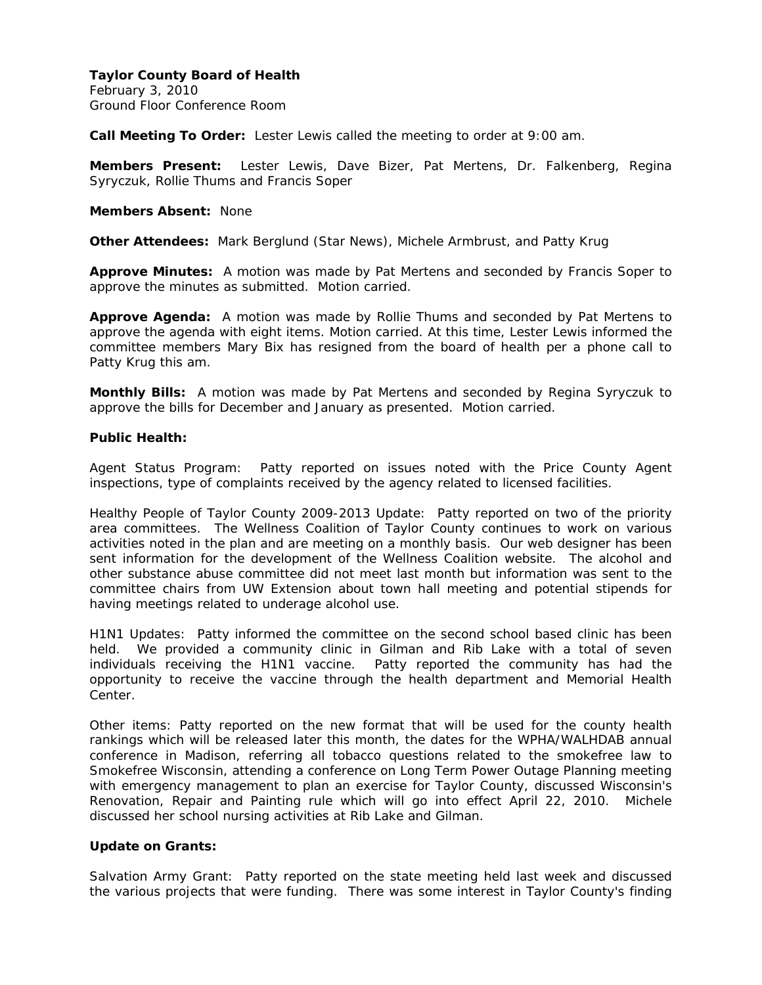February 3, 2010 Ground Floor Conference Room

**Call Meeting To Order:** Lester Lewis called the meeting to order at 9:00 am.

**Members Present:** Lester Lewis, Dave Bizer, Pat Mertens, Dr. Falkenberg, Regina Syryczuk, Rollie Thums and Francis Soper

**Members Absent:** None

**Other Attendees:** Mark Berglund (Star News), Michele Armbrust, and Patty Krug

**Approve Minutes:** A motion was made by Pat Mertens and seconded by Francis Soper to approve the minutes as submitted. Motion carried.

**Approve Agenda:** A motion was made by Rollie Thums and seconded by Pat Mertens to approve the agenda with eight items. Motion carried. At this time, Lester Lewis informed the committee members Mary Bix has resigned from the board of health per a phone call to Patty Krug this am.

**Monthly Bills:** A motion was made by Pat Mertens and seconded by Regina Syryczuk to approve the bills for December and January as presented. Motion carried.

## **Public Health:**

Agent Status Program: Patty reported on issues noted with the Price County Agent inspections, type of complaints received by the agency related to licensed facilities.

Healthy People of Taylor County 2009-2013 Update: Patty reported on two of the priority area committees. The Wellness Coalition of Taylor County continues to work on various activities noted in the plan and are meeting on a monthly basis. Our web designer has been sent information for the development of the Wellness Coalition website. The alcohol and other substance abuse committee did not meet last month but information was sent to the committee chairs from UW Extension about town hall meeting and potential stipends for having meetings related to underage alcohol use.

H1N1 Updates: Patty informed the committee on the second school based clinic has been held. We provided a community clinic in Gilman and Rib Lake with a total of seven individuals receiving the H1N1 vaccine. Patty reported the community has had the opportunity to receive the vaccine through the health department and Memorial Health Center.

Other items: Patty reported on the new format that will be used for the county health rankings which will be released later this month, the dates for the WPHA/WALHDAB annual conference in Madison, referring all tobacco questions related to the smokefree law to Smokefree Wisconsin, attending a conference on Long Term Power Outage Planning meeting with emergency management to plan an exercise for Taylor County, discussed Wisconsin's Renovation, Repair and Painting rule which will go into effect April 22, 2010. Michele discussed her school nursing activities at Rib Lake and Gilman.

# **Update on Grants:**

Salvation Army Grant: Patty reported on the state meeting held last week and discussed the various projects that were funding. There was some interest in Taylor County's finding